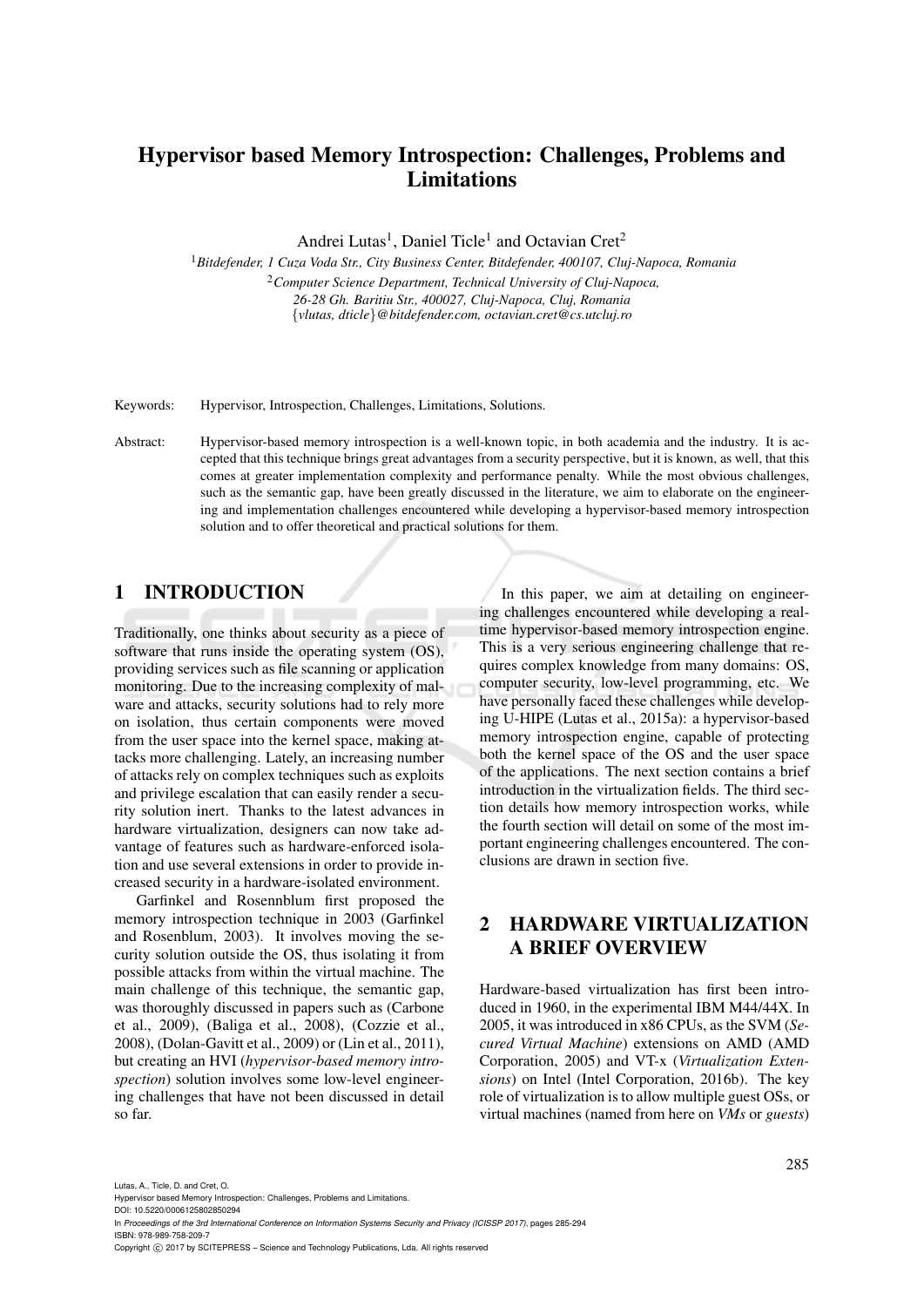# Hypervisor based Memory Introspection: Challenges, Problems and **Limitations**

Andrei Lutas<sup>1</sup>, Daniel Ticle<sup>1</sup> and Octavian Cret<sup>2</sup>

<sup>1</sup>*Bitdefender, 1 Cuza Voda Str., City Business Center, Bitdefender, 400107, Cluj-Napoca, Romania* <sup>2</sup>*Computer Science Department, Technical University of Cluj-Napoca, 26-28 Gh. Baritiu Str., 400027, Cluj-Napoca, Cluj, Romania* {*vlutas, dticle*}*@bitdefender.com, octavian.cret@cs.utcluj.ro*

Keywords: Hypervisor, Introspection, Challenges, Limitations, Solutions.

Abstract: Hypervisor-based memory introspection is a well-known topic, in both academia and the industry. It is accepted that this technique brings great advantages from a security perspective, but it is known, as well, that this comes at greater implementation complexity and performance penalty. While the most obvious challenges, such as the semantic gap, have been greatly discussed in the literature, we aim to elaborate on the engineering and implementation challenges encountered while developing a hypervisor-based memory introspection solution and to offer theoretical and practical solutions for them.

### 1 INTRODUCTION

Traditionally, one thinks about security as a piece of software that runs inside the operating system (OS), providing services such as file scanning or application monitoring. Due to the increasing complexity of malware and attacks, security solutions had to rely more on isolation, thus certain components were moved from the user space into the kernel space, making attacks more challenging. Lately, an increasing number of attacks rely on complex techniques such as exploits and privilege escalation that can easily render a security solution inert. Thanks to the latest advances in hardware virtualization, designers can now take advantage of features such as hardware-enforced isolation and use several extensions in order to provide increased security in a hardware-isolated environment.

Garfinkel and Rosennblum first proposed the memory introspection technique in 2003 (Garfinkel and Rosenblum, 2003). It involves moving the security solution outside the OS, thus isolating it from possible attacks from within the virtual machine. The main challenge of this technique, the semantic gap, was thoroughly discussed in papers such as (Carbone et al., 2009), (Baliga et al., 2008), (Cozzie et al., 2008), (Dolan-Gavitt et al., 2009) or (Lin et al., 2011), but creating an HVI (*hypervisor-based memory introspection*) solution involves some low-level engineering challenges that have not been discussed in detail so far.

In this paper, we aim at detailing on engineering challenges encountered while developing a realtime hypervisor-based memory introspection engine. This is a very serious engineering challenge that requires complex knowledge from many domains: OS, computer security, low-level programming, etc. We have personally faced these challenges while developing U-HIPE (Lutas et al., 2015a): a hypervisor-based memory introspection engine, capable of protecting both the kernel space of the OS and the user space of the applications. The next section contains a brief introduction in the virtualization fields. The third section details how memory introspection works, while the fourth section will detail on some of the most important engineering challenges encountered. The conclusions are drawn in section five.

# 2 HARDWARE VIRTUALIZATION A BRIEF OVERVIEW

Hardware-based virtualization has first been introduced in 1960, in the experimental IBM M44/44X. In 2005, it was introduced in x86 CPUs, as the SVM (*Secured Virtual Machine*) extensions on AMD (AMD Corporation, 2005) and VT-x (*Virtualization Extensions*) on Intel (Intel Corporation, 2016b). The key role of virtualization is to allow multiple guest OSs, or virtual machines (named from here on *VMs* or *guests*)

Lutas, A., Ticle, D. and Cret, O.

DOI: 10.5220/0006125802850294

Hypervisor based Memory Introspection: Challenges, Problems and Limitations.

In *Proceedings of the 3rd International Conference on Information Systems Security and Privacy (ICISSP 2017)*, pages 285-294 ISBN: 978-989-758-209-7

Copyright (C) 2017 by SCITEPRESS - Science and Technology Publications, Lda. All rights reserved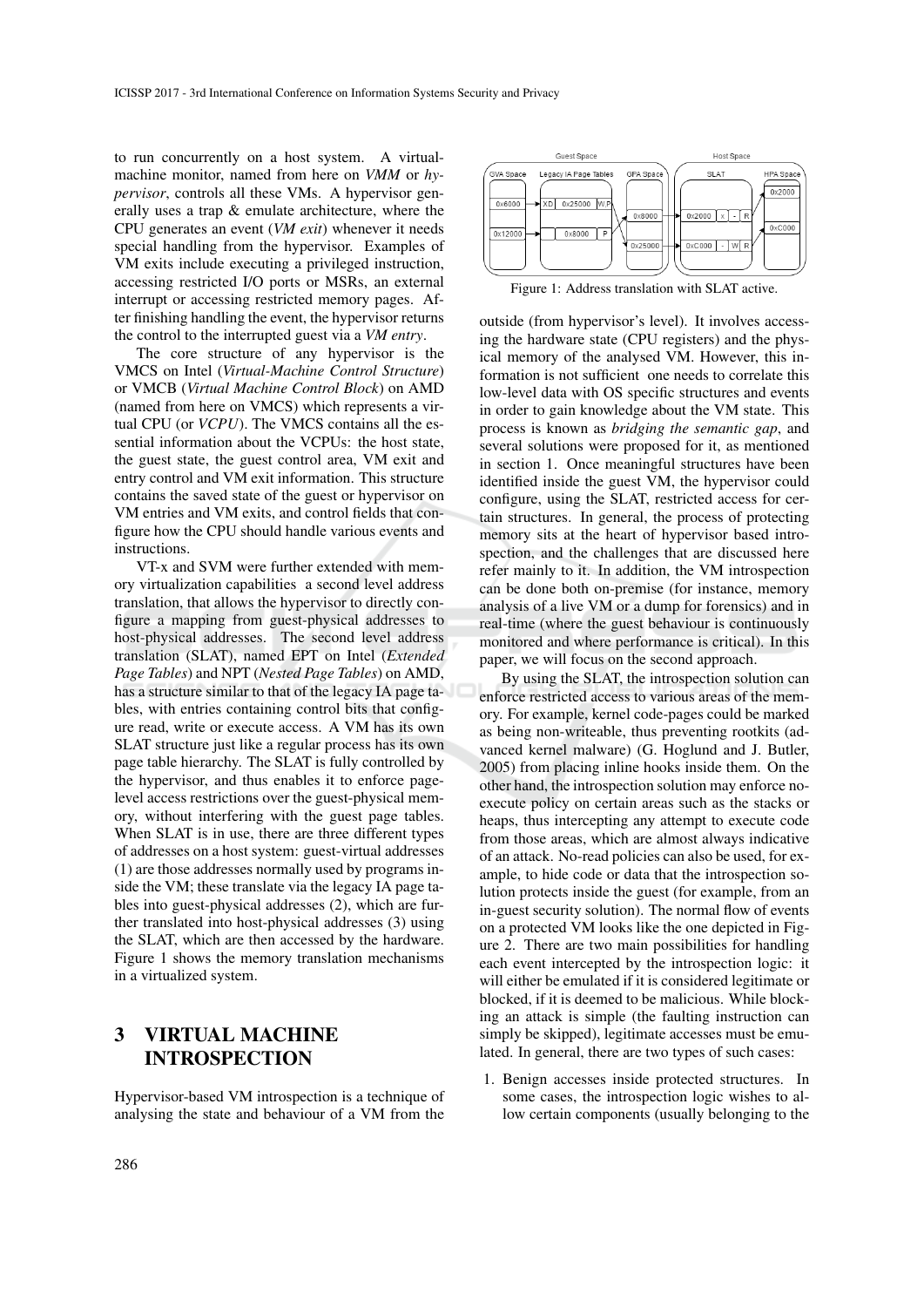to run concurrently on a host system. A virtualmachine monitor, named from here on *VMM* or *hypervisor*, controls all these VMs. A hypervisor generally uses a trap & emulate architecture, where the CPU generates an event (*VM exit*) whenever it needs special handling from the hypervisor. Examples of VM exits include executing a privileged instruction, accessing restricted I/O ports or MSRs, an external interrupt or accessing restricted memory pages. After finishing handling the event, the hypervisor returns the control to the interrupted guest via a *VM entry*.

The core structure of any hypervisor is the VMCS on Intel (*Virtual-Machine Control Structure*) or VMCB (*Virtual Machine Control Block*) on AMD (named from here on VMCS) which represents a virtual CPU (or *VCPU*). The VMCS contains all the essential information about the VCPUs: the host state, the guest state, the guest control area, VM exit and entry control and VM exit information. This structure contains the saved state of the guest or hypervisor on VM entries and VM exits, and control fields that configure how the CPU should handle various events and instructions.

VT-x and SVM were further extended with memory virtualization capabilities a second level address translation, that allows the hypervisor to directly configure a mapping from guest-physical addresses to host-physical addresses. The second level address translation (SLAT), named EPT on Intel (*Extended Page Tables*) and NPT (*Nested Page Tables*) on AMD, has a structure similar to that of the legacy IA page tables, with entries containing control bits that configure read, write or execute access. A VM has its own SLAT structure just like a regular process has its own page table hierarchy. The SLAT is fully controlled by the hypervisor, and thus enables it to enforce pagelevel access restrictions over the guest-physical memory, without interfering with the guest page tables. When SLAT is in use, there are three different types of addresses on a host system: guest-virtual addresses (1) are those addresses normally used by programs inside the VM; these translate via the legacy IA page tables into guest-physical addresses (2), which are further translated into host-physical addresses (3) using the SLAT, which are then accessed by the hardware. Figure 1 shows the memory translation mechanisms in a virtualized system.

# 3 VIRTUAL MACHINE INTROSPECTION

Hypervisor-based VM introspection is a technique of analysing the state and behaviour of a VM from the



Figure 1: Address translation with SLAT active.

outside (from hypervisor's level). It involves accessing the hardware state (CPU registers) and the physical memory of the analysed VM. However, this information is not sufficient one needs to correlate this low-level data with OS specific structures and events in order to gain knowledge about the VM state. This process is known as *bridging the semantic gap*, and several solutions were proposed for it, as mentioned in section 1. Once meaningful structures have been identified inside the guest VM, the hypervisor could configure, using the SLAT, restricted access for certain structures. In general, the process of protecting memory sits at the heart of hypervisor based introspection, and the challenges that are discussed here refer mainly to it. In addition, the VM introspection can be done both on-premise (for instance, memory analysis of a live VM or a dump for forensics) and in real-time (where the guest behaviour is continuously monitored and where performance is critical). In this paper, we will focus on the second approach.

By using the SLAT, the introspection solution can enforce restricted access to various areas of the memory. For example, kernel code-pages could be marked as being non-writeable, thus preventing rootkits (advanced kernel malware) (G. Hoglund and J. Butler, 2005) from placing inline hooks inside them. On the other hand, the introspection solution may enforce noexecute policy on certain areas such as the stacks or heaps, thus intercepting any attempt to execute code from those areas, which are almost always indicative of an attack. No-read policies can also be used, for example, to hide code or data that the introspection solution protects inside the guest (for example, from an in-guest security solution). The normal flow of events on a protected VM looks like the one depicted in Figure 2. There are two main possibilities for handling each event intercepted by the introspection logic: it will either be emulated if it is considered legitimate or blocked, if it is deemed to be malicious. While blocking an attack is simple (the faulting instruction can simply be skipped), legitimate accesses must be emulated. In general, there are two types of such cases:

1. Benign accesses inside protected structures. In some cases, the introspection logic wishes to allow certain components (usually belonging to the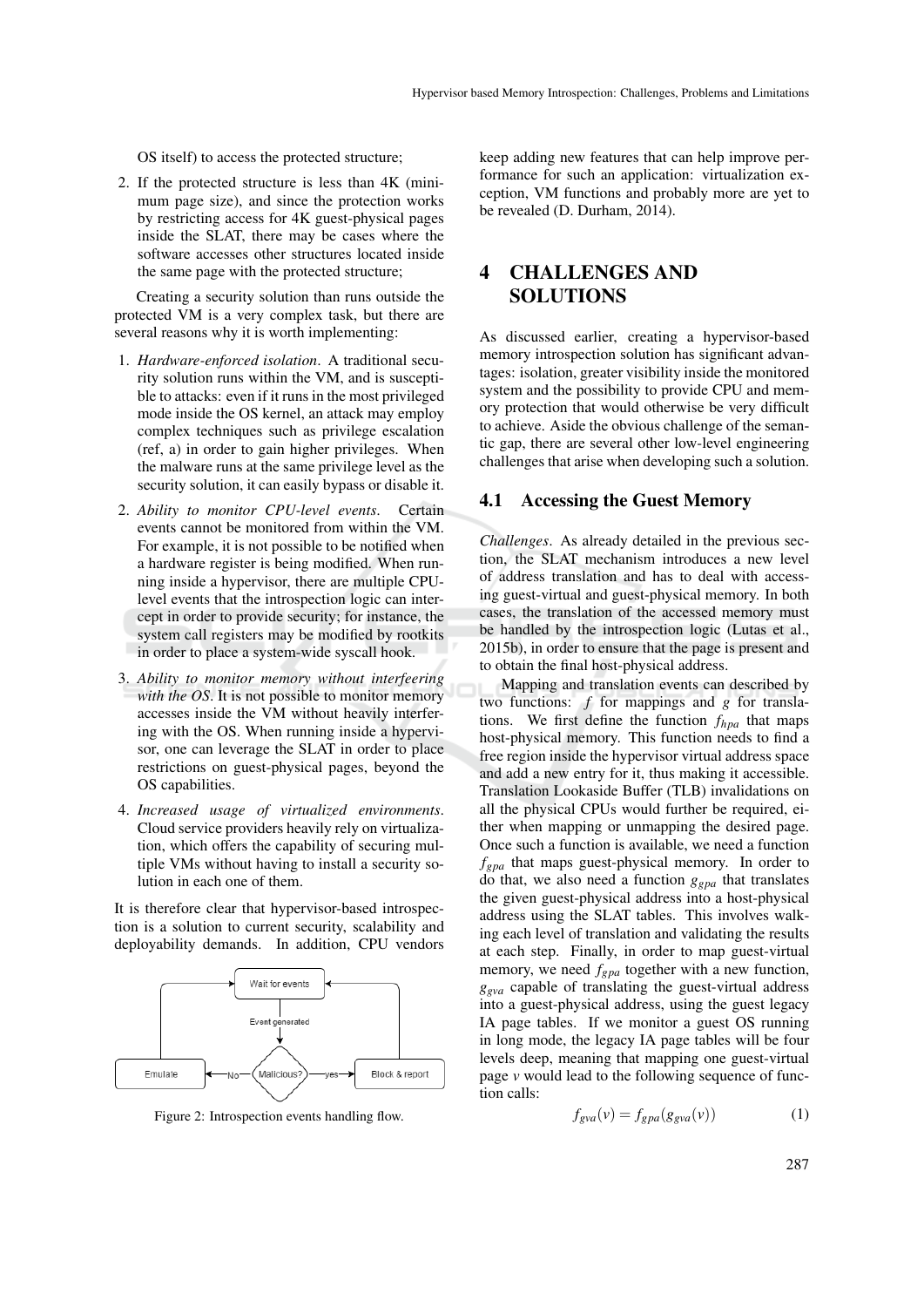OS itself) to access the protected structure;

2. If the protected structure is less than 4K (minimum page size), and since the protection works by restricting access for 4K guest-physical pages inside the SLAT, there may be cases where the software accesses other structures located inside the same page with the protected structure;

Creating a security solution than runs outside the protected VM is a very complex task, but there are several reasons why it is worth implementing:

- 1. *Hardware-enforced isolation*. A traditional security solution runs within the VM, and is susceptible to attacks: even if it runs in the most privileged mode inside the OS kernel, an attack may employ complex techniques such as privilege escalation (ref, a) in order to gain higher privileges. When the malware runs at the same privilege level as the security solution, it can easily bypass or disable it.
- 2. *Ability to monitor CPU-level events*. Certain events cannot be monitored from within the VM. For example, it is not possible to be notified when a hardware register is being modified. When running inside a hypervisor, there are multiple CPUlevel events that the introspection logic can intercept in order to provide security; for instance, the system call registers may be modified by rootkits in order to place a system-wide syscall hook.
- 3. *Ability to monitor memory without interfeering with the OS*. It is not possible to monitor memory accesses inside the VM without heavily interfering with the OS. When running inside a hypervisor, one can leverage the SLAT in order to place restrictions on guest-physical pages, beyond the OS capabilities.
- 4. *Increased usage of virtualized environments*. Cloud service providers heavily rely on virtualization, which offers the capability of securing multiple VMs without having to install a security solution in each one of them.

It is therefore clear that hypervisor-based introspection is a solution to current security, scalability and deployability demands. In addition, CPU vendors



Figure 2: Introspection events handling flow.

keep adding new features that can help improve performance for such an application: virtualization exception, VM functions and probably more are yet to be revealed (D. Durham, 2014).

# 4 CHALLENGES AND **SOLUTIONS**

As discussed earlier, creating a hypervisor-based memory introspection solution has significant advantages: isolation, greater visibility inside the monitored system and the possibility to provide CPU and memory protection that would otherwise be very difficult to achieve. Aside the obvious challenge of the semantic gap, there are several other low-level engineering challenges that arise when developing such a solution.

#### 4.1 Accessing the Guest Memory

*Challenges*. As already detailed in the previous section, the SLAT mechanism introduces a new level of address translation and has to deal with accessing guest-virtual and guest-physical memory. In both cases, the translation of the accessed memory must be handled by the introspection logic (Lutas et al., 2015b), in order to ensure that the page is present and to obtain the final host-physical address.

Mapping and translation events can described by two functions: *f* for mappings and *g* for translations. We first define the function *fhpa* that maps host-physical memory. This function needs to find a free region inside the hypervisor virtual address space and add a new entry for it, thus making it accessible. Translation Lookaside Buffer (TLB) invalidations on all the physical CPUs would further be required, either when mapping or unmapping the desired page. Once such a function is available, we need a function *fgpa* that maps guest-physical memory. In order to do that, we also need a function *ggpa* that translates the given guest-physical address into a host-physical address using the SLAT tables. This involves walking each level of translation and validating the results at each step. Finally, in order to map guest-virtual memory, we need *fgpa* together with a new function, *ggva* capable of translating the guest-virtual address into a guest-physical address, using the guest legacy IA page tables. If we monitor a guest OS running in long mode, the legacy IA page tables will be four levels deep, meaning that mapping one guest-virtual page *v* would lead to the following sequence of function calls:

$$
f_{\text{gva}}(v) = f_{\text{gpa}}(g_{\text{gva}}(v))\tag{1}
$$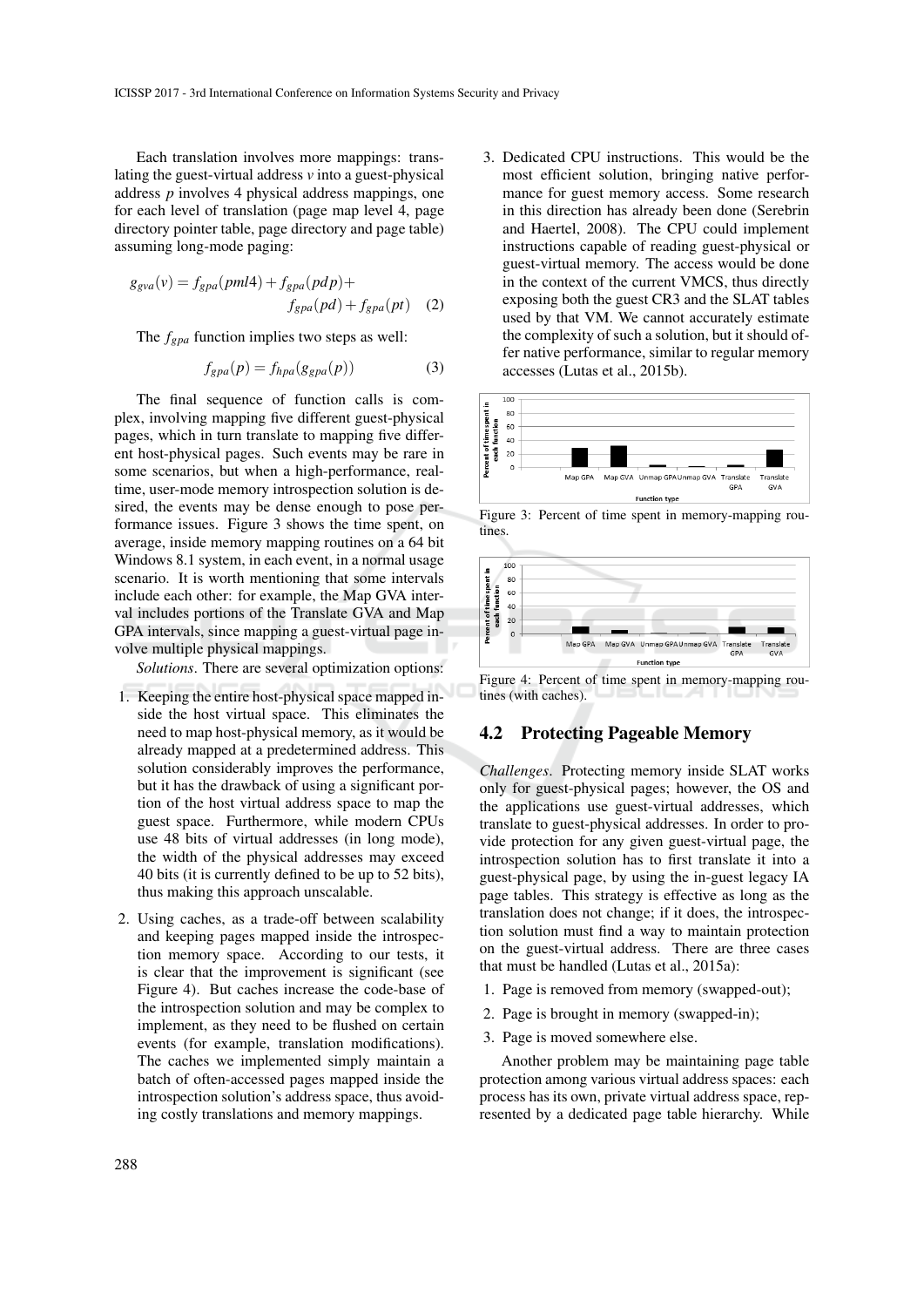Each translation involves more mappings: translating the guest-virtual address *v* into a guest-physical address *p* involves 4 physical address mappings, one for each level of translation (page map level 4, page directory pointer table, page directory and page table) assuming long-mode paging:

$$
g_{gva}(v) = f_{gpa}(pml4) + f_{gpa}(pdp) +
$$
  

$$
f_{gpa}(pd) + f_{gpa}(pt)
$$
 (2)

The *fgpa* function implies two steps as well:

$$
f_{\text{g}p\text{a}}(p) = f_{\text{h}p\text{a}}(g_{\text{g}p\text{a}}(p))\tag{3}
$$

The final sequence of function calls is complex, involving mapping five different guest-physical pages, which in turn translate to mapping five different host-physical pages. Such events may be rare in some scenarios, but when a high-performance, realtime, user-mode memory introspection solution is desired, the events may be dense enough to pose performance issues. Figure 3 shows the time spent, on average, inside memory mapping routines on a 64 bit Windows 8.1 system, in each event, in a normal usage scenario. It is worth mentioning that some intervals include each other: for example, the Map GVA interval includes portions of the Translate GVA and Map GPA intervals, since mapping a guest-virtual page involve multiple physical mappings.

*Solutions*. There are several optimization options:

- 1. Keeping the entire host-physical space mapped inside the host virtual space. This eliminates the need to map host-physical memory, as it would be already mapped at a predetermined address. This solution considerably improves the performance, but it has the drawback of using a significant portion of the host virtual address space to map the guest space. Furthermore, while modern CPUs use 48 bits of virtual addresses (in long mode), the width of the physical addresses may exceed 40 bits (it is currently defined to be up to 52 bits), thus making this approach unscalable.
- 2. Using caches, as a trade-off between scalability and keeping pages mapped inside the introspection memory space. According to our tests, it is clear that the improvement is significant (see Figure 4). But caches increase the code-base of the introspection solution and may be complex to implement, as they need to be flushed on certain events (for example, translation modifications). The caches we implemented simply maintain a batch of often-accessed pages mapped inside the introspection solution's address space, thus avoiding costly translations and memory mappings.

3. Dedicated CPU instructions. This would be the most efficient solution, bringing native performance for guest memory access. Some research in this direction has already been done (Serebrin and Haertel, 2008). The CPU could implement instructions capable of reading guest-physical or guest-virtual memory. The access would be done in the context of the current VMCS, thus directly exposing both the guest CR3 and the SLAT tables used by that VM. We cannot accurately estimate the complexity of such a solution, but it should offer native performance, similar to regular memory accesses (Lutas et al., 2015b).



Figure 3: Percent of time spent in memory-mapping routines.



Figure 4: Percent of time spent in memory-mapping routines (with caches).

#### 4.2 Protecting Pageable Memory

*Challenges*. Protecting memory inside SLAT works only for guest-physical pages; however, the OS and the applications use guest-virtual addresses, which translate to guest-physical addresses. In order to provide protection for any given guest-virtual page, the introspection solution has to first translate it into a guest-physical page, by using the in-guest legacy IA page tables. This strategy is effective as long as the translation does not change; if it does, the introspection solution must find a way to maintain protection on the guest-virtual address. There are three cases that must be handled (Lutas et al., 2015a):

- 1. Page is removed from memory (swapped-out);
- 2. Page is brought in memory (swapped-in);
- 3. Page is moved somewhere else.

Another problem may be maintaining page table protection among various virtual address spaces: each process has its own, private virtual address space, represented by a dedicated page table hierarchy. While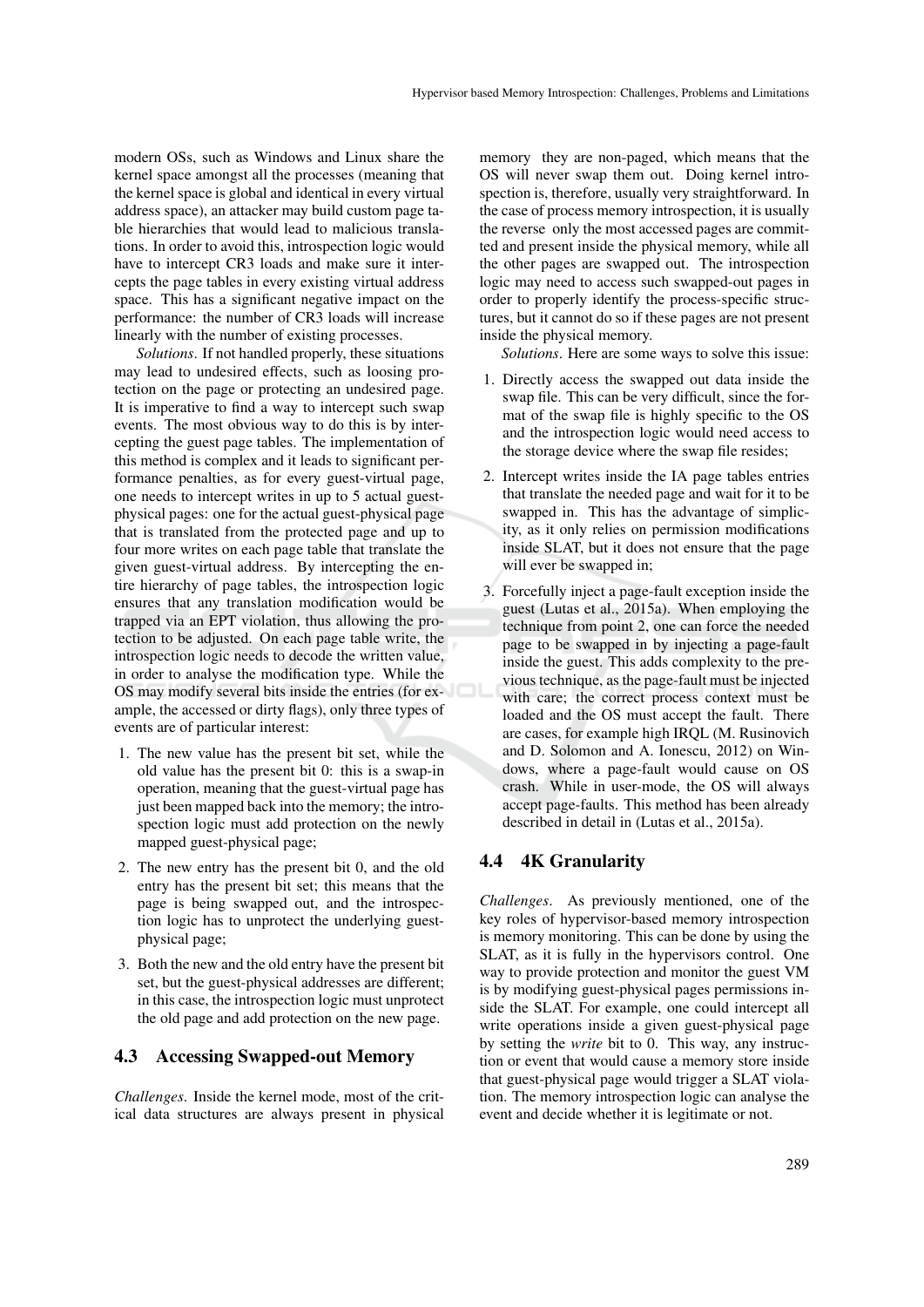modern OSs, such as Windows and Linux share the kernel space amongst all the processes (meaning that the kernel space is global and identical in every virtual address space), an attacker may build custom page table hierarchies that would lead to malicious translations. In order to avoid this, introspection logic would have to intercept CR3 loads and make sure it intercepts the page tables in every existing virtual address space. This has a significant negative impact on the performance: the number of CR3 loads will increase linearly with the number of existing processes.

*Solutions*. If not handled properly, these situations may lead to undesired effects, such as loosing protection on the page or protecting an undesired page. It is imperative to find a way to intercept such swap events. The most obvious way to do this is by intercepting the guest page tables. The implementation of this method is complex and it leads to significant performance penalties, as for every guest-virtual page, one needs to intercept writes in up to 5 actual guestphysical pages: one for the actual guest-physical page that is translated from the protected page and up to four more writes on each page table that translate the given guest-virtual address. By intercepting the entire hierarchy of page tables, the introspection logic ensures that any translation modification would be trapped via an EPT violation, thus allowing the protection to be adjusted. On each page table write, the introspection logic needs to decode the written value, in order to analyse the modification type. While the OS may modify several bits inside the entries (for example, the accessed or dirty flags), only three types of events are of particular interest:

- 1. The new value has the present bit set, while the old value has the present bit 0: this is a swap-in operation, meaning that the guest-virtual page has just been mapped back into the memory; the introspection logic must add protection on the newly mapped guest-physical page;
- 2. The new entry has the present bit 0, and the old entry has the present bit set; this means that the page is being swapped out, and the introspection logic has to unprotect the underlying guestphysical page;
- 3. Both the new and the old entry have the present bit set, but the guest-physical addresses are different; in this case, the introspection logic must unprotect the old page and add protection on the new page.

#### 4.3 Accessing Swapped-out Memory

*Challenges*. Inside the kernel mode, most of the critical data structures are always present in physical memory they are non-paged, which means that the OS will never swap them out. Doing kernel introspection is, therefore, usually very straightforward. In the case of process memory introspection, it is usually the reverse only the most accessed pages are committed and present inside the physical memory, while all the other pages are swapped out. The introspection logic may need to access such swapped-out pages in order to properly identify the process-specific structures, but it cannot do so if these pages are not present inside the physical memory.

*Solutions*. Here are some ways to solve this issue:

- 1. Directly access the swapped out data inside the swap file. This can be very difficult, since the format of the swap file is highly specific to the OS and the introspection logic would need access to the storage device where the swap file resides;
- 2. Intercept writes inside the IA page tables entries that translate the needed page and wait for it to be swapped in. This has the advantage of simplicity, as it only relies on permission modifications inside SLAT, but it does not ensure that the page will ever be swapped in;
- 3. Forcefully inject a page-fault exception inside the guest (Lutas et al., 2015a). When employing the technique from point 2, one can force the needed page to be swapped in by injecting a page-fault inside the guest. This adds complexity to the previous technique, as the page-fault must be injected with care; the correct process context must be loaded and the OS must accept the fault. There are cases, for example high IRQL (M. Rusinovich and D. Solomon and A. Ionescu, 2012) on Windows, where a page-fault would cause on OS crash. While in user-mode, the OS will always accept page-faults. This method has been already described in detail in (Lutas et al., 2015a).

#### 4.4 4K Granularity

*Challenges*. As previously mentioned, one of the key roles of hypervisor-based memory introspection is memory monitoring. This can be done by using the SLAT, as it is fully in the hypervisors control. One way to provide protection and monitor the guest VM is by modifying guest-physical pages permissions inside the SLAT. For example, one could intercept all write operations inside a given guest-physical page by setting the *write* bit to 0. This way, any instruction or event that would cause a memory store inside that guest-physical page would trigger a SLAT violation. The memory introspection logic can analyse the event and decide whether it is legitimate or not.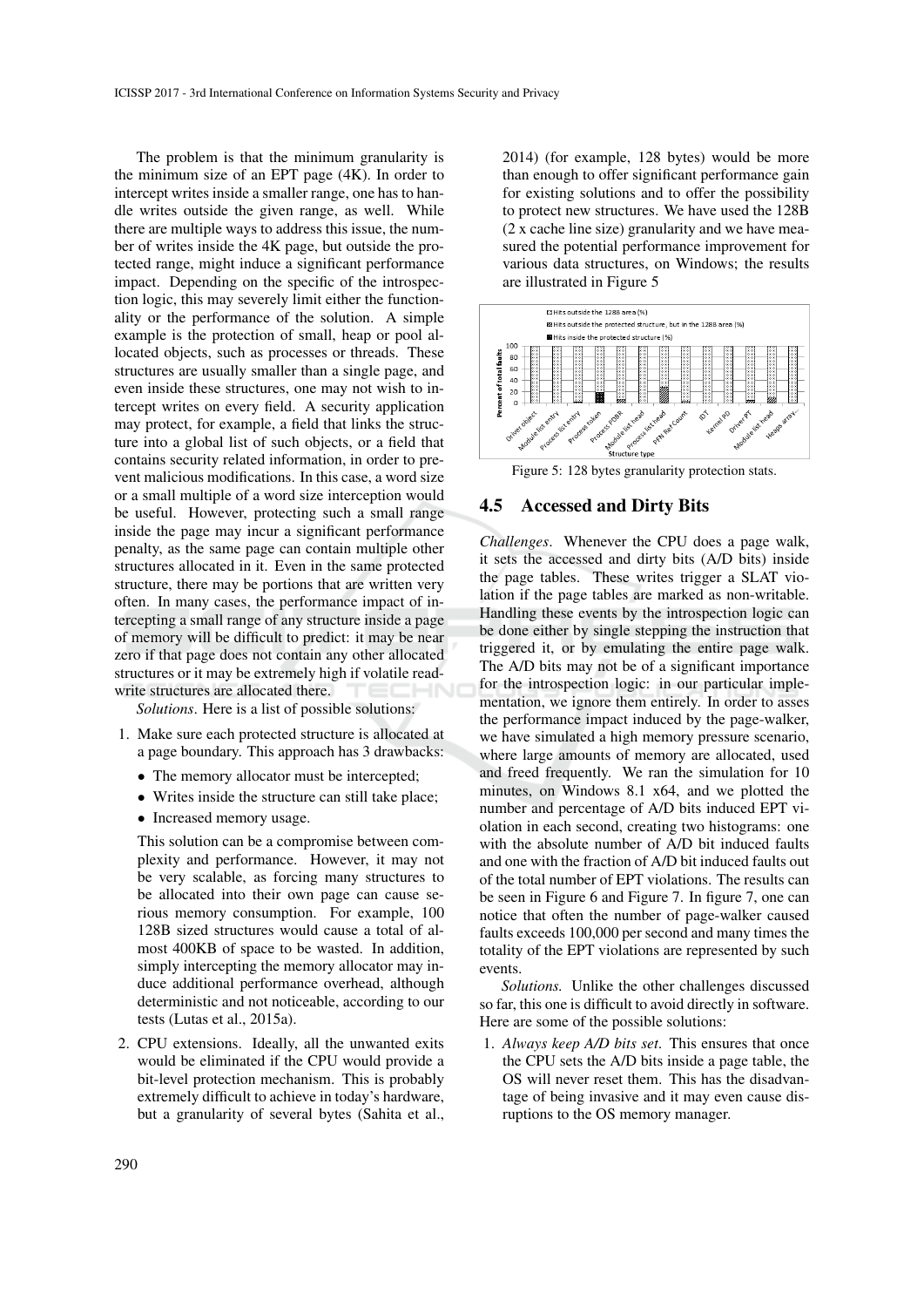The problem is that the minimum granularity is the minimum size of an EPT page (4K). In order to intercept writes inside a smaller range, one has to handle writes outside the given range, as well. While there are multiple ways to address this issue, the number of writes inside the 4K page, but outside the protected range, might induce a significant performance impact. Depending on the specific of the introspection logic, this may severely limit either the functionality or the performance of the solution. A simple example is the protection of small, heap or pool allocated objects, such as processes or threads. These structures are usually smaller than a single page, and even inside these structures, one may not wish to intercept writes on every field. A security application may protect, for example, a field that links the structure into a global list of such objects, or a field that contains security related information, in order to prevent malicious modifications. In this case, a word size or a small multiple of a word size interception would be useful. However, protecting such a small range inside the page may incur a significant performance penalty, as the same page can contain multiple other structures allocated in it. Even in the same protected structure, there may be portions that are written very often. In many cases, the performance impact of intercepting a small range of any structure inside a page of memory will be difficult to predict: it may be near zero if that page does not contain any other allocated structures or it may be extremely high if volatile readwrite structures are allocated there. –INI

*Solutions*. Here is a list of possible solutions:

- 1. Make sure each protected structure is allocated at a page boundary. This approach has 3 drawbacks:
	- The memory allocator must be intercepted;
	- Writes inside the structure can still take place;
	- Increased memory usage.

This solution can be a compromise between complexity and performance. However, it may not be very scalable, as forcing many structures to be allocated into their own page can cause serious memory consumption. For example, 100 128B sized structures would cause a total of almost 400KB of space to be wasted. In addition, simply intercepting the memory allocator may induce additional performance overhead, although deterministic and not noticeable, according to our tests (Lutas et al., 2015a).

2. CPU extensions. Ideally, all the unwanted exits would be eliminated if the CPU would provide a bit-level protection mechanism. This is probably extremely difficult to achieve in today's hardware, but a granularity of several bytes (Sahita et al.,

2014) (for example, 128 bytes) would be more than enough to offer significant performance gain for existing solutions and to offer the possibility to protect new structures. We have used the 128B (2 x cache line size) granularity and we have measured the potential performance improvement for various data structures, on Windows; the results are illustrated in Figure 5



Figure 5: 128 bytes granularity protection stats.

#### 4.5 Accessed and Dirty Bits

*Challenges*. Whenever the CPU does a page walk, it sets the accessed and dirty bits (A/D bits) inside the page tables. These writes trigger a SLAT violation if the page tables are marked as non-writable. Handling these events by the introspection logic can be done either by single stepping the instruction that triggered it, or by emulating the entire page walk. The A/D bits may not be of a significant importance for the introspection logic: in our particular implementation, we ignore them entirely. In order to asses the performance impact induced by the page-walker, we have simulated a high memory pressure scenario, where large amounts of memory are allocated, used and freed frequently. We ran the simulation for 10 minutes, on Windows 8.1 x64, and we plotted the number and percentage of A/D bits induced EPT violation in each second, creating two histograms: one with the absolute number of A/D bit induced faults and one with the fraction of A/D bit induced faults out of the total number of EPT violations. The results can be seen in Figure 6 and Figure 7. In figure 7, one can notice that often the number of page-walker caused faults exceeds 100,000 per second and many times the totality of the EPT violations are represented by such events.

*Solutions.* Unlike the other challenges discussed so far, this one is difficult to avoid directly in software. Here are some of the possible solutions:

1. *Always keep A/D bits set*. This ensures that once the CPU sets the A/D bits inside a page table, the OS will never reset them. This has the disadvantage of being invasive and it may even cause disruptions to the OS memory manager.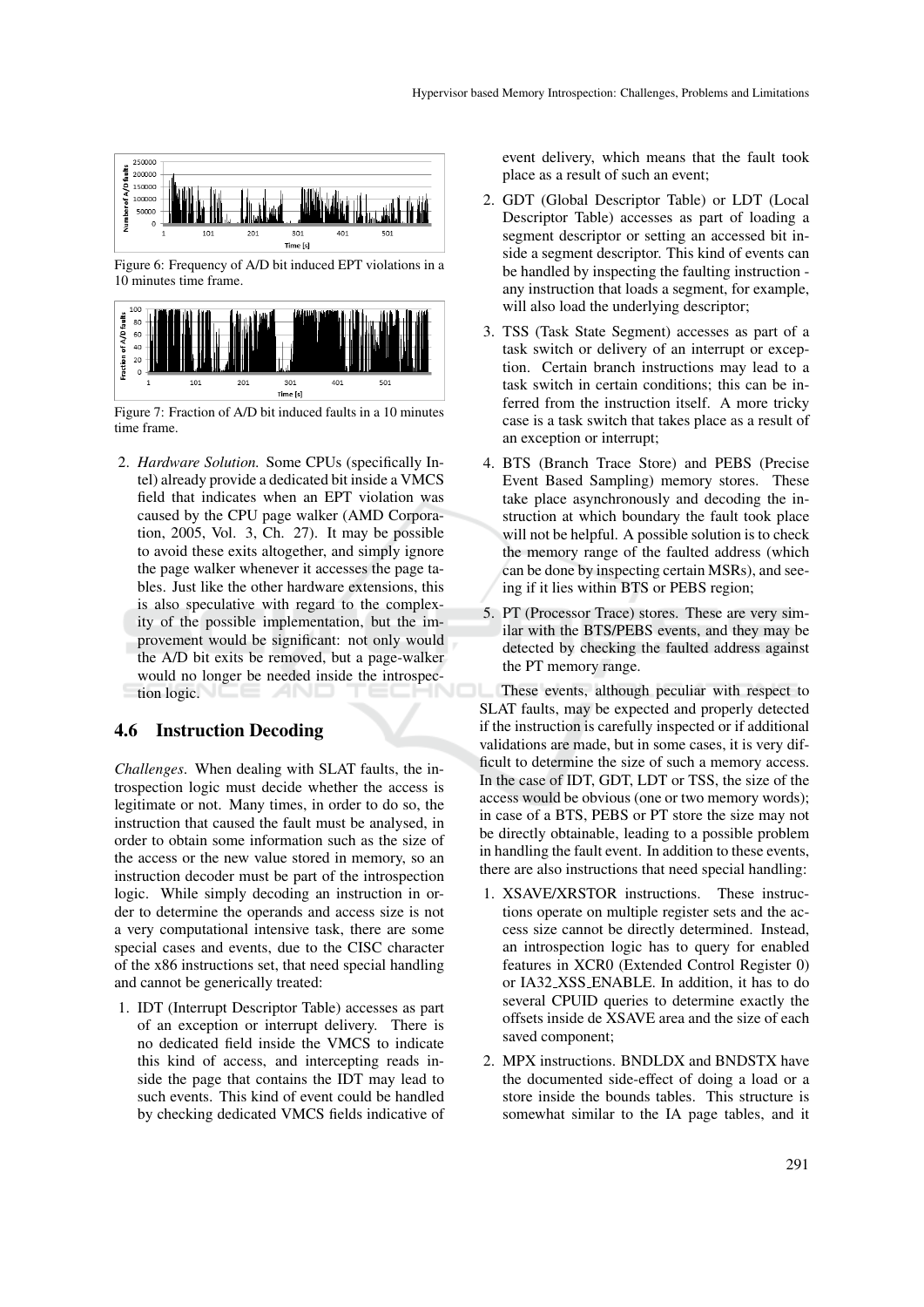

Figure 6: Frequency of A/D bit induced EPT violations in a 10 minutes time frame.



Figure 7: Fraction of A/D bit induced faults in a 10 minutes time frame.

2. *Hardware Solution.* Some CPUs (specifically Intel) already provide a dedicated bit inside a VMCS field that indicates when an EPT violation was caused by the CPU page walker (AMD Corporation, 2005, Vol. 3, Ch. 27). It may be possible to avoid these exits altogether, and simply ignore the page walker whenever it accesses the page tables. Just like the other hardware extensions, this is also speculative with regard to the complexity of the possible implementation, but the improvement would be significant: not only would the A/D bit exits be removed, but a page-walker would no longer be needed inside the introspection logic.

#### 4.6 Instruction Decoding

*Challenges*. When dealing with SLAT faults, the introspection logic must decide whether the access is legitimate or not. Many times, in order to do so, the instruction that caused the fault must be analysed, in order to obtain some information such as the size of the access or the new value stored in memory, so an instruction decoder must be part of the introspection logic. While simply decoding an instruction in order to determine the operands and access size is not a very computational intensive task, there are some special cases and events, due to the CISC character of the x86 instructions set, that need special handling and cannot be generically treated:

1. IDT (Interrupt Descriptor Table) accesses as part of an exception or interrupt delivery. There is no dedicated field inside the VMCS to indicate this kind of access, and intercepting reads inside the page that contains the IDT may lead to such events. This kind of event could be handled by checking dedicated VMCS fields indicative of event delivery, which means that the fault took place as a result of such an event;

- 2. GDT (Global Descriptor Table) or LDT (Local Descriptor Table) accesses as part of loading a segment descriptor or setting an accessed bit inside a segment descriptor. This kind of events can be handled by inspecting the faulting instruction any instruction that loads a segment, for example, will also load the underlying descriptor;
- 3. TSS (Task State Segment) accesses as part of a task switch or delivery of an interrupt or exception. Certain branch instructions may lead to a task switch in certain conditions; this can be inferred from the instruction itself. A more tricky case is a task switch that takes place as a result of an exception or interrupt;
- 4. BTS (Branch Trace Store) and PEBS (Precise Event Based Sampling) memory stores. These take place asynchronously and decoding the instruction at which boundary the fault took place will not be helpful. A possible solution is to check the memory range of the faulted address (which can be done by inspecting certain MSRs), and seeing if it lies within BTS or PEBS region;
- 5. PT (Processor Trace) stores. These are very similar with the BTS/PEBS events, and they may be detected by checking the faulted address against the PT memory range.

These events, although peculiar with respect to SLAT faults, may be expected and properly detected if the instruction is carefully inspected or if additional validations are made, but in some cases, it is very difficult to determine the size of such a memory access. In the case of IDT, GDT, LDT or TSS, the size of the access would be obvious (one or two memory words); in case of a BTS, PEBS or PT store the size may not be directly obtainable, leading to a possible problem in handling the fault event. In addition to these events, there are also instructions that need special handling:

- 1. XSAVE/XRSTOR instructions. These instructions operate on multiple register sets and the access size cannot be directly determined. Instead, an introspection logic has to query for enabled features in XCR0 (Extended Control Register 0) or IA32 XSS ENABLE. In addition, it has to do several CPUID queries to determine exactly the offsets inside de XSAVE area and the size of each saved component;
- 2. MPX instructions. BNDLDX and BNDSTX have the documented side-effect of doing a load or a store inside the bounds tables. This structure is somewhat similar to the IA page tables, and it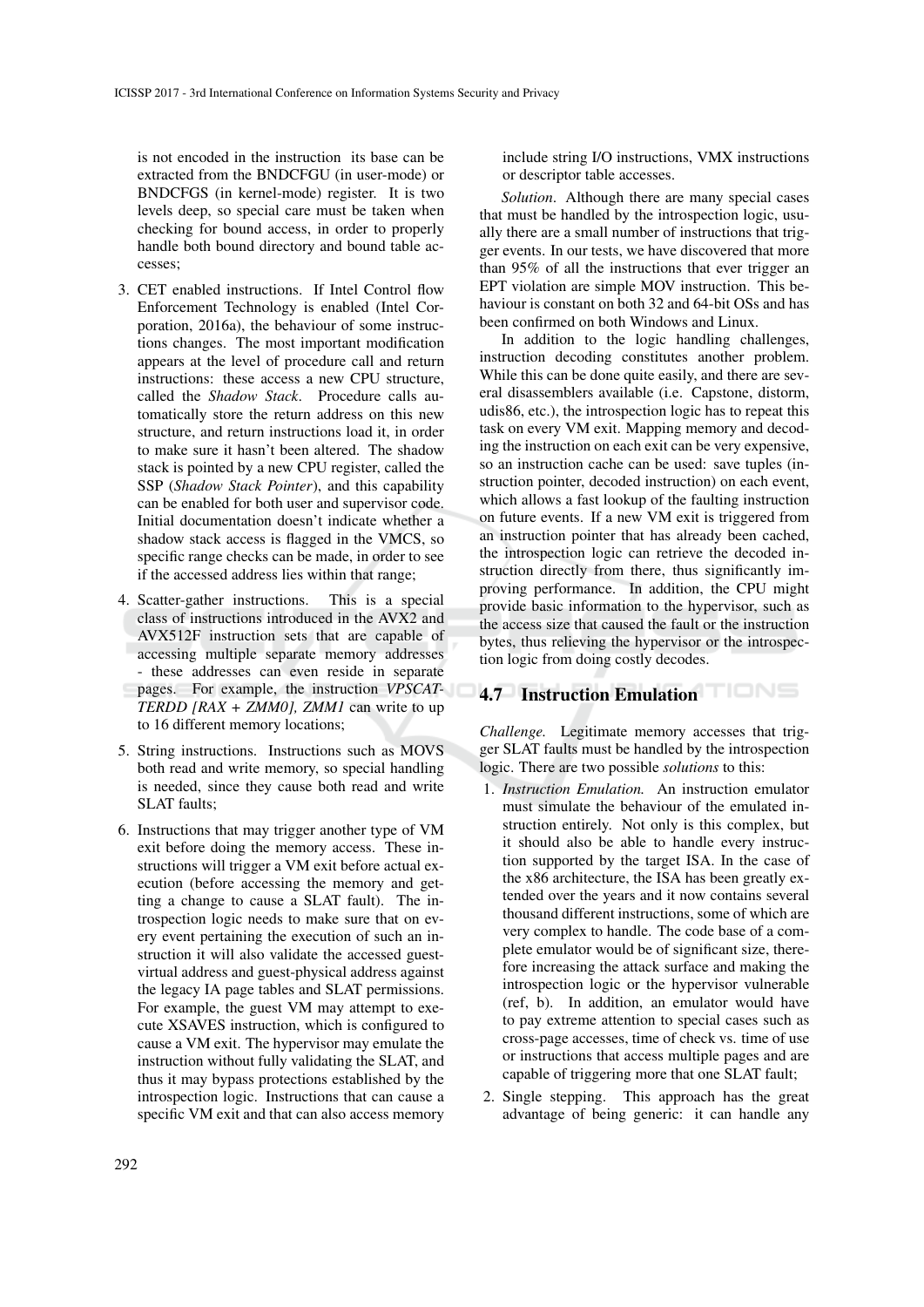is not encoded in the instruction its base can be extracted from the BNDCFGU (in user-mode) or BNDCFGS (in kernel-mode) register. It is two levels deep, so special care must be taken when checking for bound access, in order to properly handle both bound directory and bound table accesses;

- 3. CET enabled instructions. If Intel Control flow Enforcement Technology is enabled (Intel Corporation, 2016a), the behaviour of some instructions changes. The most important modification appears at the level of procedure call and return instructions: these access a new CPU structure, called the *Shadow Stack*. Procedure calls automatically store the return address on this new structure, and return instructions load it, in order to make sure it hasn't been altered. The shadow stack is pointed by a new CPU register, called the SSP (*Shadow Stack Pointer*), and this capability can be enabled for both user and supervisor code. Initial documentation doesn't indicate whether a shadow stack access is flagged in the VMCS, so specific range checks can be made, in order to see if the accessed address lies within that range;
- 4. Scatter-gather instructions. This is a special class of instructions introduced in the AVX2 and AVX512F instruction sets that are capable of accessing multiple separate memory addresses - these addresses can even reside in separate pages. For example, the instruction *VPSCAT-TERDD [RAX + ZMM0], ZMM1* can write to up to 16 different memory locations;
- 5. String instructions. Instructions such as MOVS both read and write memory, so special handling is needed, since they cause both read and write SLAT faults;
- 6. Instructions that may trigger another type of VM exit before doing the memory access. These instructions will trigger a VM exit before actual execution (before accessing the memory and getting a change to cause a SLAT fault). The introspection logic needs to make sure that on every event pertaining the execution of such an instruction it will also validate the accessed guestvirtual address and guest-physical address against the legacy IA page tables and SLAT permissions. For example, the guest VM may attempt to execute XSAVES instruction, which is configured to cause a VM exit. The hypervisor may emulate the instruction without fully validating the SLAT, and thus it may bypass protections established by the introspection logic. Instructions that can cause a specific VM exit and that can also access memory

include string I/O instructions, VMX instructions or descriptor table accesses.

*Solution*. Although there are many special cases that must be handled by the introspection logic, usually there are a small number of instructions that trigger events. In our tests, we have discovered that more than 95% of all the instructions that ever trigger an EPT violation are simple MOV instruction. This behaviour is constant on both 32 and 64-bit OSs and has been confirmed on both Windows and Linux.

In addition to the logic handling challenges, instruction decoding constitutes another problem. While this can be done quite easily, and there are several disassemblers available (i.e. Capstone, distorm, udis86, etc.), the introspection logic has to repeat this task on every VM exit. Mapping memory and decoding the instruction on each exit can be very expensive, so an instruction cache can be used: save tuples (instruction pointer, decoded instruction) on each event, which allows a fast lookup of the faulting instruction on future events. If a new VM exit is triggered from an instruction pointer that has already been cached, the introspection logic can retrieve the decoded instruction directly from there, thus significantly improving performance. In addition, the CPU might provide basic information to the hypervisor, such as the access size that caused the fault or the instruction bytes, thus relieving the hypervisor or the introspection logic from doing costly decodes.

## 4.7 Instruction Emulation

*Challenge.* Legitimate memory accesses that trigger SLAT faults must be handled by the introspection logic. There are two possible *solutions* to this:

- 1. *Instruction Emulation.* An instruction emulator must simulate the behaviour of the emulated instruction entirely. Not only is this complex, but it should also be able to handle every instruction supported by the target ISA. In the case of the x86 architecture, the ISA has been greatly extended over the years and it now contains several thousand different instructions, some of which are very complex to handle. The code base of a complete emulator would be of significant size, therefore increasing the attack surface and making the introspection logic or the hypervisor vulnerable (ref, b). In addition, an emulator would have to pay extreme attention to special cases such as cross-page accesses, time of check vs. time of use or instructions that access multiple pages and are capable of triggering more that one SLAT fault;
- 2. Single stepping. This approach has the great advantage of being generic: it can handle any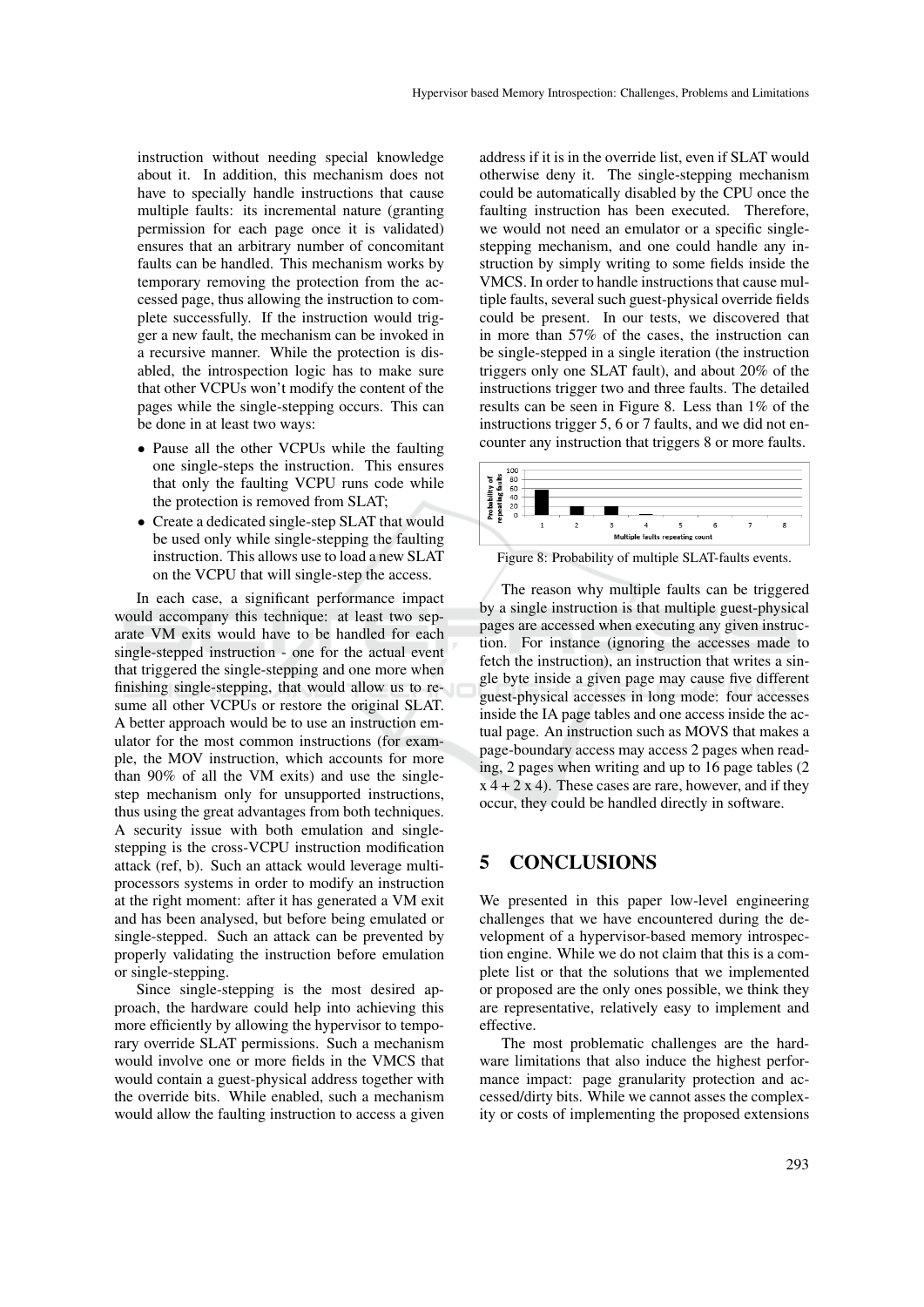instruction without needing special knowledge about it. In addition, this mechanism does not have to specially handle instructions that cause multiple faults: its incremental nature (granting permission for each page once it is validated) ensures that an arbitrary number of concomitant faults can be handled. This mechanism works by temporary removing the protection from the accessed page, thus allowing the instruction to complete successfully. If the instruction would trigger a new fault, the mechanism can be invoked in a recursive manner. While the protection is disabled, the introspection logic has to make sure that other VCPUs won't modify the content of the pages while the single-stepping occurs. This can be done in at least two ways:

- Pause all the other VCPUs while the faulting one single-steps the instruction. This ensures that only the faulting VCPU runs code while the protection is removed from SLAT;
- Create a dedicated single-step SLAT that would be used only while single-stepping the faulting instruction. This allows use to load a new SLAT on the VCPU that will single-step the access.

In each case, a significant performance impact would accompany this technique: at least two separate VM exits would have to be handled for each single-stepped instruction - one for the actual event that triggered the single-stepping and one more when finishing single-stepping, that would allow us to resume all other VCPUs or restore the original SLAT. A better approach would be to use an instruction emulator for the most common instructions (for example, the MOV instruction, which accounts for more than 90% of all the VM exits) and use the singlestep mechanism only for unsupported instructions, thus using the great advantages from both techniques. A security issue with both emulation and singlestepping is the cross-VCPU instruction modification attack (ref, b). Such an attack would leverage multiprocessors systems in order to modify an instruction at the right moment: after it has generated a VM exit and has been analysed, but before being emulated or single-stepped. Such an attack can be prevented by properly validating the instruction before emulation or single-stepping.

Since single-stepping is the most desired approach, the hardware could help into achieving this more efficiently by allowing the hypervisor to temporary override SLAT permissions. Such a mechanism would involve one or more fields in the VMCS that would contain a guest-physical address together with the override bits. While enabled, such a mechanism would allow the faulting instruction to access a given

address if it is in the override list, even if SLAT would otherwise deny it. The single-stepping mechanism could be automatically disabled by the CPU once the faulting instruction has been executed. Therefore, we would not need an emulator or a specific singlestepping mechanism, and one could handle any instruction by simply writing to some fields inside the VMCS. In order to handle instructions that cause multiple faults, several such guest-physical override fields could be present. In our tests, we discovered that in more than 57% of the cases, the instruction can be single-stepped in a single iteration (the instruction triggers only one SLAT fault), and about 20% of the instructions trigger two and three faults. The detailed results can be seen in Figure 8. Less than 1% of the instructions trigger 5, 6 or 7 faults, and we did not encounter any instruction that triggers 8 or more faults.



Figure 8: Probability of multiple SLAT-faults events.

The reason why multiple faults can be triggered by a single instruction is that multiple guest-physical pages are accessed when executing any given instruction. For instance (ignoring the accesses made to fetch the instruction), an instruction that writes a single byte inside a given page may cause five different guest-physical accesses in long mode: four accesses inside the IA page tables and one access inside the actual page. An instruction such as MOVS that makes a page-boundary access may access 2 pages when reading, 2 pages when writing and up to 16 page tables (2  $x$  4 + 2  $x$  4). These cases are rare, however, and if they occur, they could be handled directly in software.

#### 5 CONCLUSIONS

We presented in this paper low-level engineering challenges that we have encountered during the development of a hypervisor-based memory introspection engine. While we do not claim that this is a complete list or that the solutions that we implemented or proposed are the only ones possible, we think they are representative, relatively easy to implement and effective.

The most problematic challenges are the hardware limitations that also induce the highest performance impact: page granularity protection and accessed/dirty bits. While we cannot asses the complexity or costs of implementing the proposed extensions